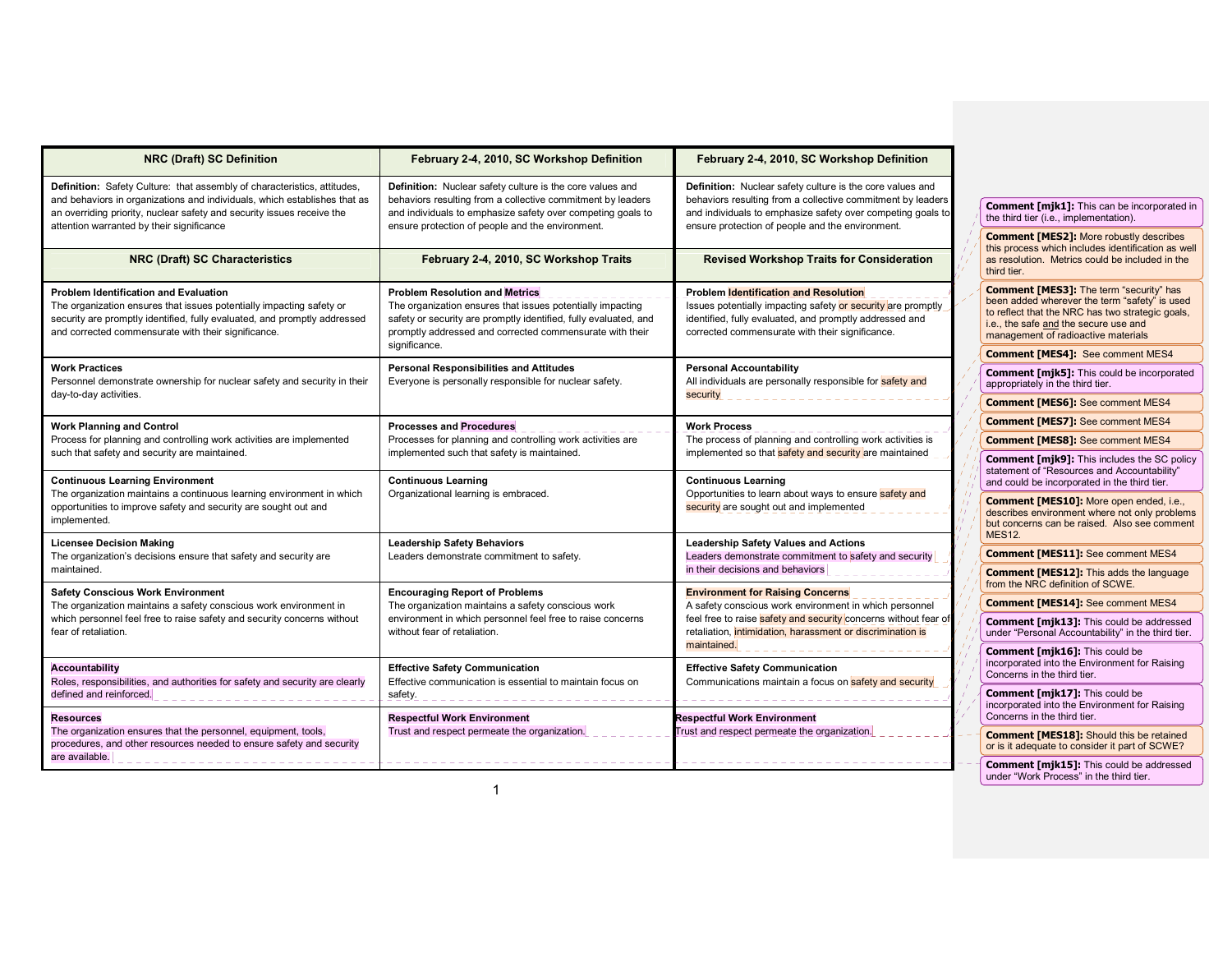| <b>NRC (Draft) SC Definition</b>                                                                                                                                                                                                                                             | February 2-4, 2010, SC Workshop Definition                                                                                                                                                                                                           | February 2-4, 2010, SC Workshop Definition                                                                                                                                                                                                        |  |                                                                                                                                                                                                                                     |
|------------------------------------------------------------------------------------------------------------------------------------------------------------------------------------------------------------------------------------------------------------------------------|------------------------------------------------------------------------------------------------------------------------------------------------------------------------------------------------------------------------------------------------------|---------------------------------------------------------------------------------------------------------------------------------------------------------------------------------------------------------------------------------------------------|--|-------------------------------------------------------------------------------------------------------------------------------------------------------------------------------------------------------------------------------------|
| Definition: Safety Culture: that assembly of characteristics, attitudes,<br>and behaviors in organizations and individuals, which establishes that as<br>an overriding priority, nuclear safety and security issues receive the<br>attention warranted by their significance | Definition: Nuclear safety culture is the core values and<br>behaviors resulting from a collective commitment by leaders<br>and individuals to emphasize safety over competing goals to<br>ensure protection of people and the environment.          | Definition: Nuclear safety culture is the core values and<br>behaviors resulting from a collective commitment by leaders<br>and individuals to emphasize safety over competing goals to<br>ensure protection of people and the environment.       |  | Comment [mjk1]: This can be incorporated in                                                                                                                                                                                         |
|                                                                                                                                                                                                                                                                              |                                                                                                                                                                                                                                                      |                                                                                                                                                                                                                                                   |  | the third tier (i.e., implementation).                                                                                                                                                                                              |
|                                                                                                                                                                                                                                                                              |                                                                                                                                                                                                                                                      |                                                                                                                                                                                                                                                   |  | <b>Comment [MES2]: More robustly describes</b>                                                                                                                                                                                      |
| <b>NRC (Draft) SC Characteristics</b>                                                                                                                                                                                                                                        | February 2-4, 2010, SC Workshop Traits                                                                                                                                                                                                               | <b>Revised Workshop Traits for Consideration</b>                                                                                                                                                                                                  |  | this process which includes identification as well<br>as resolution. Metrics could be included in the<br>third tier.                                                                                                                |
| <b>Problem Identification and Evaluation</b><br>The organization ensures that issues potentially impacting safety or<br>security are promptly identified, fully evaluated, and promptly addressed<br>and corrected commensurate with their significance.                     | <b>Problem Resolution and Metrics</b><br>The organization ensures that issues potentially impacting<br>safety or security are promptly identified, fully evaluated, and<br>promptly addressed and corrected commensurate with their<br>significance. | <b>Problem Identification and Resolution</b><br>Issues potentially impacting safety or security are promptly<br>identified, fully evaluated, and promptly addressed and<br>corrected commensurate with their significance.                        |  | <b>Comment [MES3]:</b> The term "security" has<br>been added wherever the term "safety" is used<br>to reflect that the NRC has two strategic goals,<br>i.e., the safe and the secure use and<br>management of radioactive materials |
|                                                                                                                                                                                                                                                                              |                                                                                                                                                                                                                                                      |                                                                                                                                                                                                                                                   |  | <b>Comment [MES4]:</b> See comment MES4                                                                                                                                                                                             |
| <b>Work Practices</b><br>Personnel demonstrate ownership for nuclear safety and security in their                                                                                                                                                                            | <b>Personal Responsibilities and Attitudes</b><br>Everyone is personally responsible for nuclear safety.                                                                                                                                             | <b>Personal Accountability</b><br>All individuals are personally responsible for safety and<br>security                                                                                                                                           |  | <b>Comment [mjk5]:</b> This could be incorporated<br>appropriately in the third tier.                                                                                                                                               |
| day-to-day activities.                                                                                                                                                                                                                                                       |                                                                                                                                                                                                                                                      |                                                                                                                                                                                                                                                   |  | <b>Comment [MES6]:</b> See comment MES4                                                                                                                                                                                             |
| <b>Work Planning and Control</b><br>Process for planning and controlling work activities are implemented<br>such that safety and security are maintained.                                                                                                                    | <b>Processes and Procedures</b><br>Processes for planning and controlling work activities are<br>implemented such that safety is maintained.                                                                                                         | <b>Work Process</b><br>The process of planning and controlling work activities is<br>implemented so that safety and security are maintained                                                                                                       |  | <b>Comment [MES7]:</b> See comment MES4                                                                                                                                                                                             |
|                                                                                                                                                                                                                                                                              |                                                                                                                                                                                                                                                      |                                                                                                                                                                                                                                                   |  | <b>Comment [MES8]:</b> See comment MES4                                                                                                                                                                                             |
|                                                                                                                                                                                                                                                                              |                                                                                                                                                                                                                                                      |                                                                                                                                                                                                                                                   |  | <b>Comment [mjk9]:</b> This includes the SC policy                                                                                                                                                                                  |
| <b>Continuous Learning Environment</b>                                                                                                                                                                                                                                       | <b>Continuous Learning</b>                                                                                                                                                                                                                           | <b>Continuous Learning</b>                                                                                                                                                                                                                        |  | statement of "Resources and Accountability"<br>and could be incorporated in the third tier.                                                                                                                                         |
| The organization maintains a continuous learning environment in which<br>opportunities to improve safety and security are sought out and<br>implemented.                                                                                                                     | Organizational learning is embraced.                                                                                                                                                                                                                 | Opportunities to learn about ways to ensure safety and<br>security are sought out and implemented                                                                                                                                                 |  | Comment [MES10]: More open ended, i.e.,<br>describes environment where not only problems<br>but concerns can be raised. Also see comment<br><b>MES12.</b>                                                                           |
| <b>Licensee Decision Making</b>                                                                                                                                                                                                                                              | <b>Leadership Safety Behaviors</b><br>Leaders demonstrate commitment to safety.                                                                                                                                                                      | <b>Leadership Safety Values and Actions</b><br>Leaders demonstrate commitment to safety and security                                                                                                                                              |  | <b>Comment [MES11]:</b> See comment MES4                                                                                                                                                                                            |
| The organization's decisions ensure that safety and security are<br>maintained.                                                                                                                                                                                              |                                                                                                                                                                                                                                                      | in their decisions and behaviors                                                                                                                                                                                                                  |  | <b>Comment [MES12]:</b> This adds the language<br>from the NRC definition of SCWE.                                                                                                                                                  |
| <b>Safety Conscious Work Environment</b><br>The organization maintains a safety conscious work environment in<br>which personnel feel free to raise safety and security concerns without<br>fear of retaliation.                                                             | <b>Encouraging Report of Problems</b><br>The organization maintains a safety conscious work<br>environment in which personnel feel free to raise concerns<br>without fear of retaliation.                                                            | <b>Environment for Raising Concerns</b><br>A safety conscious work environment in which personnel<br>feel free to raise safety and security concerns without fear of<br>retaliation, intimidation, harassment or discrimination is<br>maintained. |  | <b>Comment [MES14]:</b> See comment MES4                                                                                                                                                                                            |
|                                                                                                                                                                                                                                                                              |                                                                                                                                                                                                                                                      |                                                                                                                                                                                                                                                   |  | Comment [mjk13]: This could be addressed                                                                                                                                                                                            |
|                                                                                                                                                                                                                                                                              |                                                                                                                                                                                                                                                      |                                                                                                                                                                                                                                                   |  | under "Personal Accountability" in the third tier.                                                                                                                                                                                  |
|                                                                                                                                                                                                                                                                              |                                                                                                                                                                                                                                                      |                                                                                                                                                                                                                                                   |  | Comment [mjk16]: This could be<br>incorporated into the Environment for Raising                                                                                                                                                     |
| <b>Accountability</b><br>Roles, responsibilities, and authorities for safety and security are clearly<br>defined and reinforced.                                                                                                                                             | <b>Effective Safety Communication</b><br>Effective communication is essential to maintain focus on<br>safety.                                                                                                                                        | <b>Effective Safety Communication</b><br>Communications maintain a focus on safety and security                                                                                                                                                   |  | Concerns in the third tier.                                                                                                                                                                                                         |
|                                                                                                                                                                                                                                                                              |                                                                                                                                                                                                                                                      |                                                                                                                                                                                                                                                   |  | <b>Comment [mjk17]:</b> This could be                                                                                                                                                                                               |
| <b>Resources</b><br>The organization ensures that the personnel, equipment, tools,<br>procedures, and other resources needed to ensure safety and security                                                                                                                   | <b>Respectful Work Environment</b><br>Trust and respect permeate the organization.                                                                                                                                                                   | <b>Respectful Work Environment</b><br>Frust and respect permeate the organization.                                                                                                                                                                |  | incorporated into the Environment for Raising<br>Concerns in the third tier.                                                                                                                                                        |
|                                                                                                                                                                                                                                                                              |                                                                                                                                                                                                                                                      |                                                                                                                                                                                                                                                   |  | <b>Comment [MES18]:</b> Should this be retained<br>or is it adequate to consider it part of SCWE?                                                                                                                                   |
| are available.                                                                                                                                                                                                                                                               |                                                                                                                                                                                                                                                      |                                                                                                                                                                                                                                                   |  | <b>Comment [mjk15]:</b> This could be addressed<br>under "Work Process" in the third tier.                                                                                                                                          |